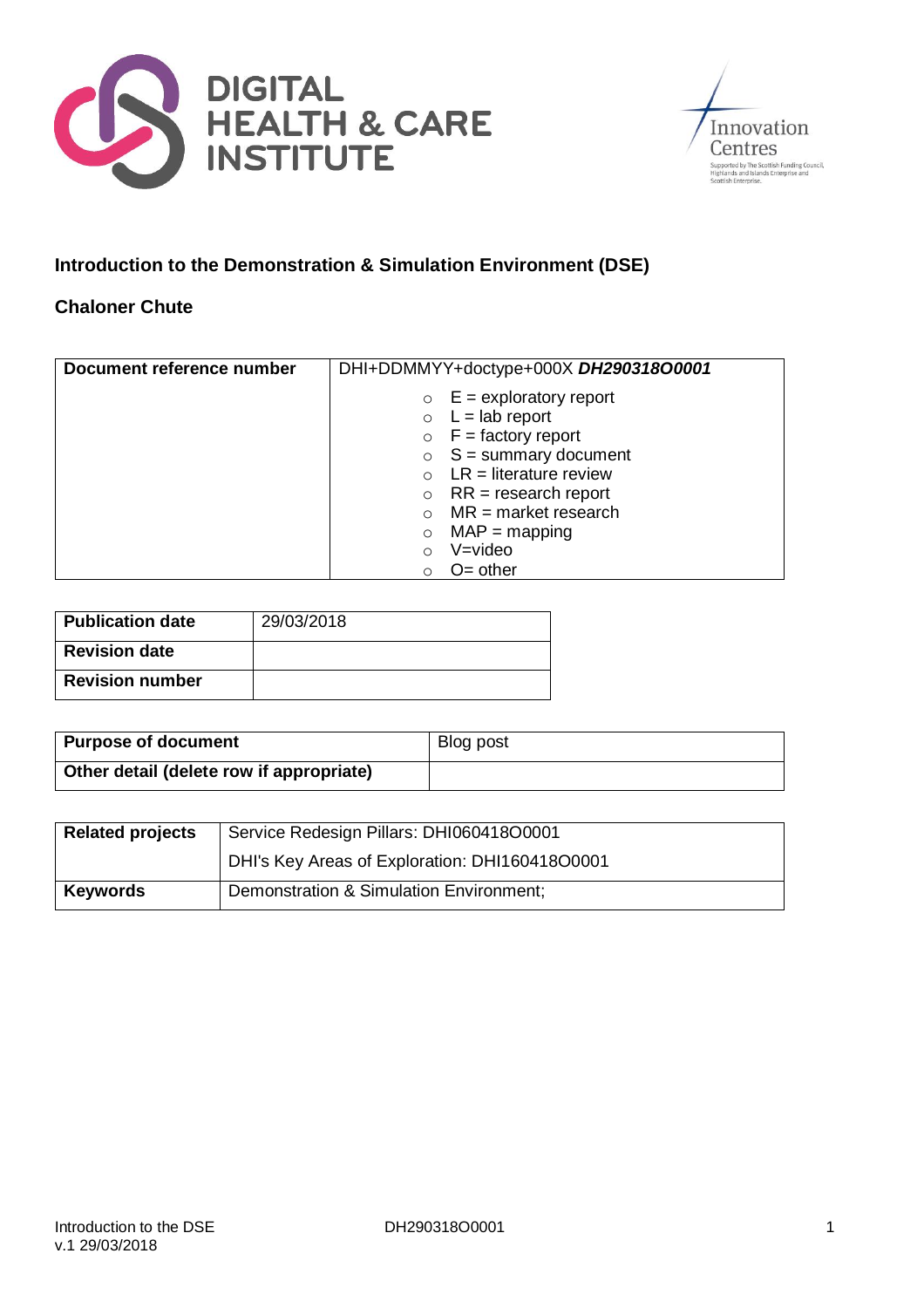



# **Introduction to the Demonstration & Simulation Environment (DSE)**

## **Chaloner Chute**

| Document reference number | DHI+DDMMYY+doctype+000X DH290318O0001 |
|---------------------------|---------------------------------------|
|                           | $\circ$ E = exploratory report        |
|                           | $\circ$ L = lab report                |
|                           | $\circ$ F = factory report            |
|                           | $\circ$ S = summary document          |
|                           | $\circ$ LR = literature review        |
|                           | $RR = research report$<br>$\circ$     |
|                           | $MR = market research$                |
|                           | $MAP = mapping$<br>$\circ$            |
|                           | V=video<br>O                          |
|                           | $O =$ other<br>Ω                      |

| <b>Publication date</b> | 29/03/2018 |
|-------------------------|------------|
| <b>Revision date</b>    |            |
| <b>Revision number</b>  |            |

| <b>Purpose of document</b>               | Blog post |
|------------------------------------------|-----------|
| Other detail (delete row if appropriate) |           |

| <b>Related projects</b> | Service Redesign Pillars: DHI060418O0001       |  |
|-------------------------|------------------------------------------------|--|
|                         | DHI's Key Areas of Exploration: DHI160418O0001 |  |
| <b>Keywords</b>         | Demonstration & Simulation Environment;        |  |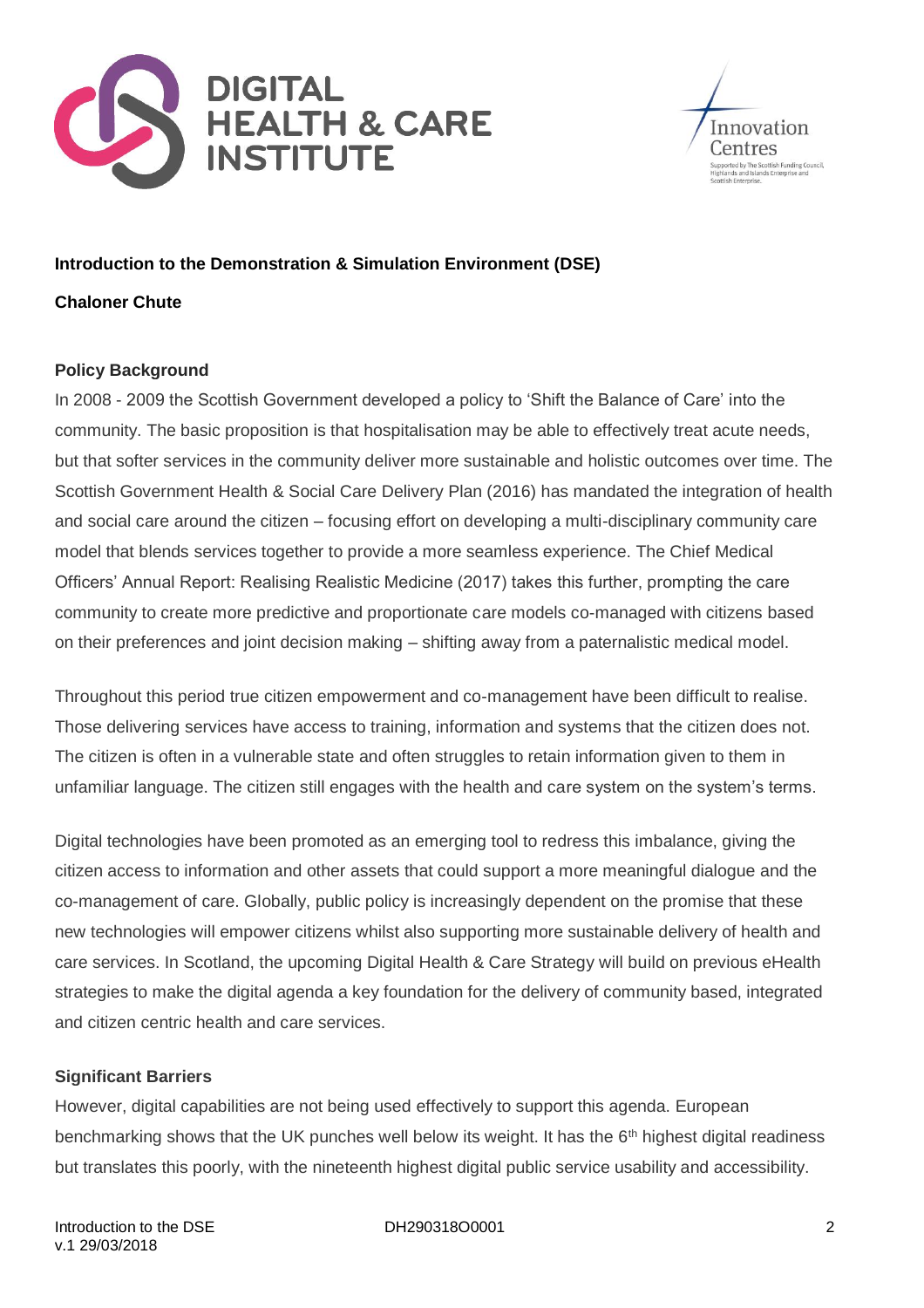



## **Introduction to the Demonstration & Simulation Environment (DSE)**

#### **Chaloner Chute**

### **Policy Background**

In 2008 - 2009 the Scottish Government developed a policy to 'Shift the Balance of Care' into the community. The basic proposition is that hospitalisation may be able to effectively treat acute needs, but that softer services in the community deliver more sustainable and holistic outcomes over time. The Scottish Government Health & Social Care Delivery Plan (2016) has mandated the integration of health and social care around the citizen – focusing effort on developing a multi-disciplinary community care model that blends services together to provide a more seamless experience. The Chief Medical Officers' Annual Report: Realising Realistic Medicine (2017) takes this further, prompting the care community to create more predictive and proportionate care models co-managed with citizens based on their preferences and joint decision making – shifting away from a paternalistic medical model.

Throughout this period true citizen empowerment and co-management have been difficult to realise. Those delivering services have access to training, information and systems that the citizen does not. The citizen is often in a vulnerable state and often struggles to retain information given to them in unfamiliar language. The citizen still engages with the health and care system on the system's terms.

Digital technologies have been promoted as an emerging tool to redress this imbalance, giving the citizen access to information and other assets that could support a more meaningful dialogue and the co-management of care. Globally, public policy is increasingly dependent on the promise that these new technologies will empower citizens whilst also supporting more sustainable delivery of health and care services. In Scotland, the upcoming Digital Health & Care Strategy will build on previous eHealth strategies to make the digital agenda a key foundation for the delivery of community based, integrated and citizen centric health and care services.

#### **Significant Barriers**

However, digital capabilities are not being used effectively to support this agenda. European benchmarking shows that the UK punches well below its weight. It has the 6<sup>th</sup> highest digital readiness but translates this poorly, with the nineteenth highest digital public service usability and accessibility.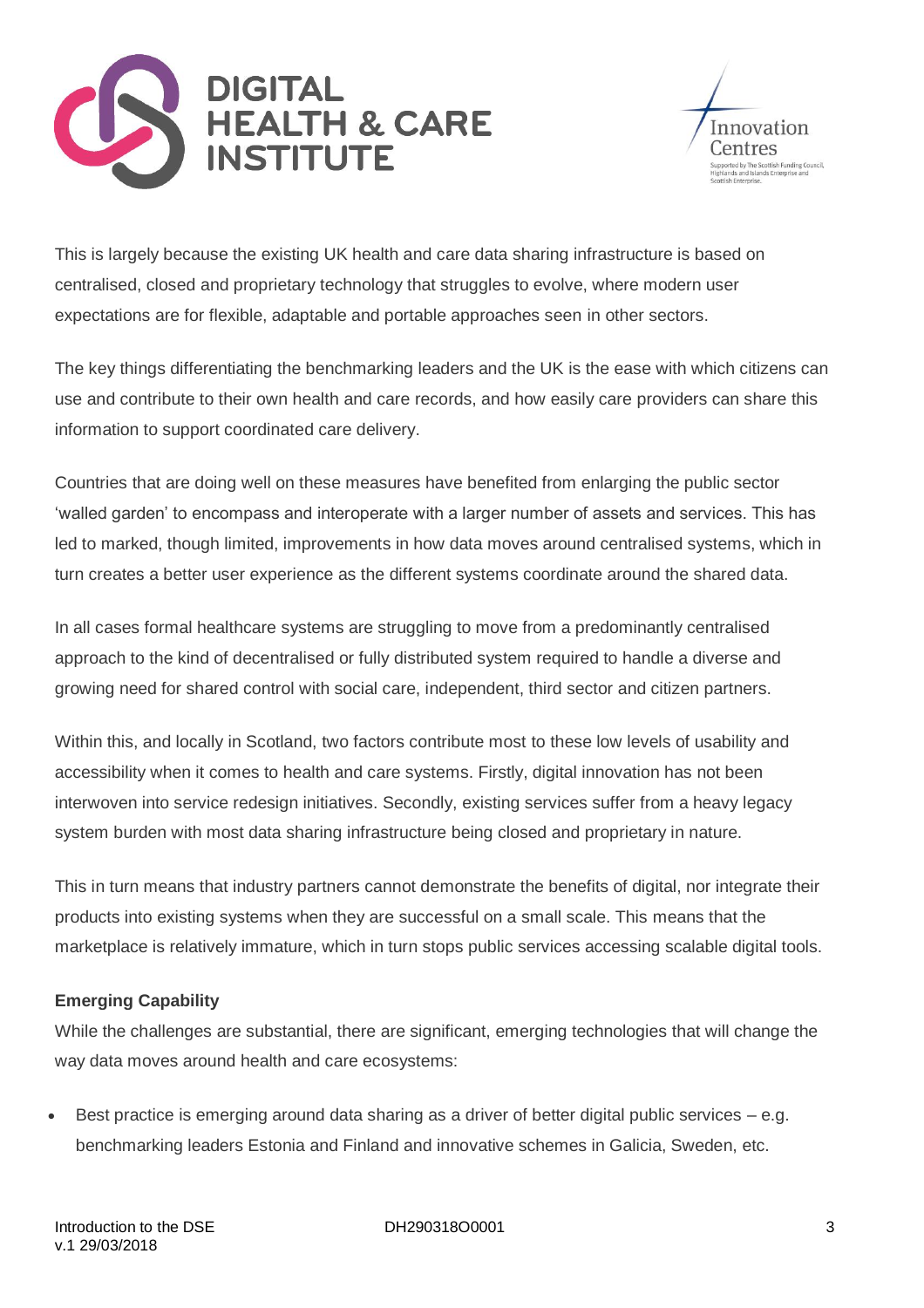



This is largely because the existing UK health and care data sharing infrastructure is based on centralised, closed and proprietary technology that struggles to evolve, where modern user expectations are for flexible, adaptable and portable approaches seen in other sectors.

The key things differentiating the benchmarking leaders and the UK is the ease with which citizens can use and contribute to their own health and care records, and how easily care providers can share this information to support coordinated care delivery.

Countries that are doing well on these measures have benefited from enlarging the public sector 'walled garden' to encompass and interoperate with a larger number of assets and services. This has led to marked, though limited, improvements in how data moves around centralised systems, which in turn creates a better user experience as the different systems coordinate around the shared data.

In all cases formal healthcare systems are struggling to move from a predominantly centralised approach to the kind of decentralised or fully distributed system required to handle a diverse and growing need for shared control with social care, independent, third sector and citizen partners.

Within this, and locally in Scotland, two factors contribute most to these low levels of usability and accessibility when it comes to health and care systems. Firstly, digital innovation has not been interwoven into service redesign initiatives. Secondly, existing services suffer from a heavy legacy system burden with most data sharing infrastructure being closed and proprietary in nature.

This in turn means that industry partners cannot demonstrate the benefits of digital, nor integrate their products into existing systems when they are successful on a small scale. This means that the marketplace is relatively immature, which in turn stops public services accessing scalable digital tools.

## **Emerging Capability**

While the challenges are substantial, there are significant, emerging technologies that will change the way data moves around health and care ecosystems:

Best practice is emerging around data sharing as a driver of better digital public services  $-e.g.$ benchmarking leaders Estonia and Finland and innovative schemes in Galicia, Sweden, etc.